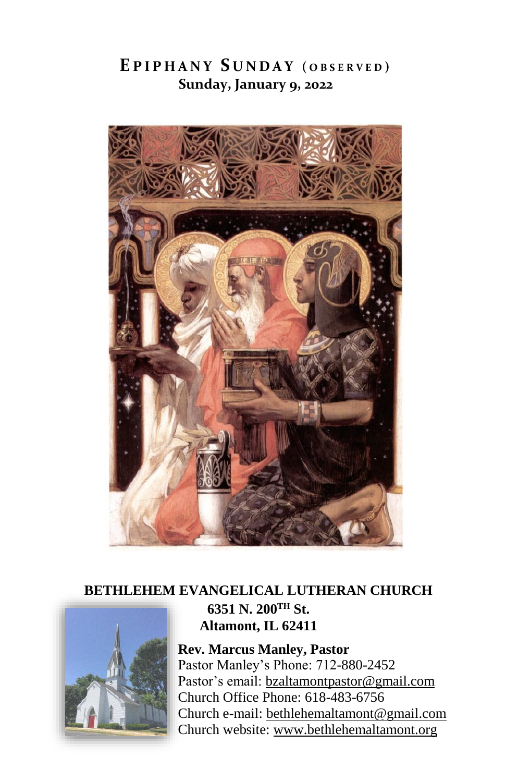# **E P I P H A N Y S U N D A Y ( O B S E R V E D ) Sunday, January 9, 2022**



## **BETHLEHEM EVANGELICAL LUTHERAN CHURCH 6351 N. 200TH St. Altamont, IL 62411**

**Rev. Marcus Manley, Pastor** Pastor Manley's Phone: 712-880-2452 Pastor's email[: bzaltamontpastor@gmail.com](mailto:bzaltamontpastor@gmail.com) Church Office Phone: 618-483-6756 Church e-mail: [bethlehemaltamont@gmail.com](mailto:bethlehemaltamont@gmail.com) Church website: [www.bethlehemaltamont.org](http://www.bethlehemaltamont.org/)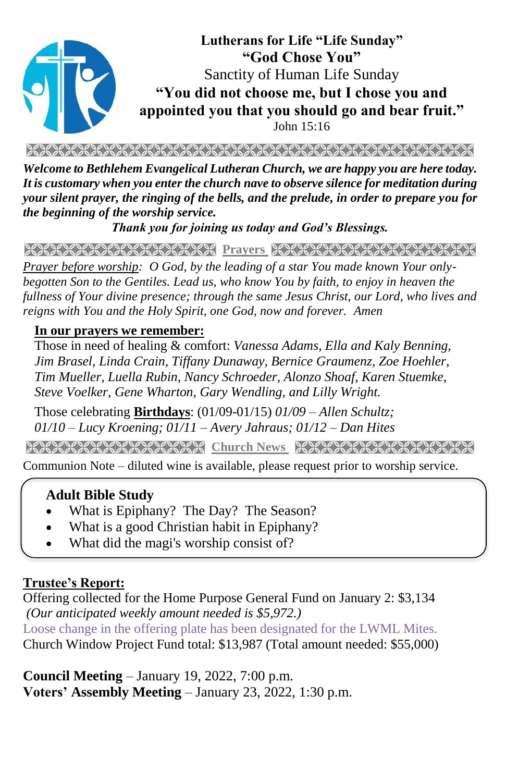

*Welcome to Bethlehem Evangelical Lutheran Church, we are happy you are here today. It is customary when you enter the church nave to observe silence for meditation during your silent prayer, the ringing of the bells, and the prelude, in order to prepare you for the beginning of the worship service.* 

*Thank you for joining us today and God's Blessings.*

**PRAYARANA ANDREWS PRICE RANA ANDREWS AND AND** 

*Prayer before worship: O God, by the leading of a star You made known Your onlybegotten Son to the Gentiles. Lead us, who know You by faith, to enjoy in heaven the fullness of Your divine presence; through the same Jesus Christ, our Lord, who lives and reigns with You and the Holy Spirit, one God, now and forever. Amen*

#### **In our prayers we remember:**

Those in need of healing & comfort: *Vanessa Adams, Ella and Kaly Benning, Jim Brasel, Linda Crain, Tiffany Dunaway, Bernice Graumenz, Zoe Hoehler, Tim Mueller, Luella Rubin, Nancy Schroeder, Alonzo Shoaf, Karen Stuemke, Steve Voelker, Gene Wharton, Gary Wendling, and Lilly Wright.*

Those celebrating **Birthdays**: (01/09-01/15) *01/09 – Allen Schultz; 01/10 – Lucy Kroening; 01/11 – Avery Jahraus; 01/12 – Dan Hites*

**Church News State State State State State State State State** 

Communion Note – diluted wine is available, please request prior to worship service.

#### **Adult Bible Study**

- What is Epiphany? The Day? The Season?
- What is a good Christian habit in Epiphany?
- What did the magi's worship consist of?

### **Trustee's Report:**

Offering collected for the Home Purpose General Fund on January 2: \$3,134 *(Our anticipated weekly amount needed is \$5,972.)*  Loose change in the offering plate has been designated for the LWML Mites. Church Window Project Fund total: \$13,987 (Total amount needed: \$55,000)

**Council Meeting** – January 19, 2022, 7:00 p.m. **Voters' Assembly Meeting** – January 23, 2022, 1:30 p.m.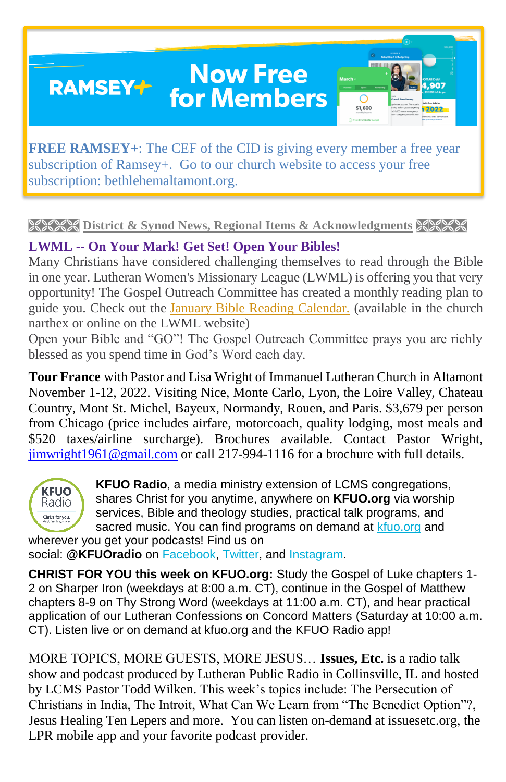# **Now Free RAMSEY+ for Members**

\$1,600

**FREE RAMSEY+**: The CEF of the CID is giving every member a free year subscription of Ramsey+. Go to our church website to access your free subscription: [bethlehemaltamont.org.](http://bethlehemaltamont.org/)

### **EXEXT District & Synod News, Regional Items & Acknowledgments XXXXX**

## **LWML -- On Your Mark! Get Set! Open Your Bibles!**

Many Christians have considered challenging themselves to read through the Bible in one year. Lutheran Women's Missionary League (LWML) is offering you that very opportunity! The Gospel Outreach Committee has created a monthly reading plan to guide you. Check out the [January Bible Reading Calendar.](https://r20.rs6.net/tn.jsp?f=001grXMV_dTyKVDI_TmPJ08k9Ercu7WQxH89Vtd9SvUt0seMWtLnPkz1d2r7apJU_zw7rRcuNUwhiP973mEwR4qgM3gG55INOoXrgBew43B2TSGhx0BvGPmKrg8ffkCt1xch2f_Zsme-eUp4KktRBOFtdR2_8hb1DIwwzPiFeWGpsugAPHt6Tfz66snS-tXi43KZvlCSdJ0brqe_w-F53ek4Gwfh_OaM66pSPQQiQBrE5uoJJ3JVpevLXhUugnPi7uwWypan0msinc2QVtR-XgLKA==&c=vF_l_RdpZvXZjzFoDAspPZmQMi0Zvx_Iutv7hOhfpaFl-XTQgu5QdQ==&ch=Ay42vZTrX9TSrjCiRFP2i8dD7hHejTKLRUdo6P1ASf5O3EjmH__RIw==) (available in the church narthex or online on the LWML website)

Open your Bible and "GO"! The Gospel Outreach Committee prays you are richly blessed as you spend time in God's Word each day.

**Tour France** with Pastor and Lisa Wright of Immanuel Lutheran Church in Altamont November 1-12, 2022. Visiting Nice, Monte Carlo, Lyon, the Loire Valley, Chateau Country, Mont St. Michel, Bayeux, Normandy, Rouen, and Paris. \$3,679 per person from Chicago (price includes airfare, motorcoach, quality lodging, most meals and \$520 taxes/airline surcharge). Brochures available. Contact Pastor Wright, [jimwright1961@gmail.com](mailto:jimwright1961@gmail.com) or call 217-994-1116 for a brochure with full details.



**KFUO Radio**, a media ministry extension of LCMS congregations, shares Christ for you anytime, anywhere on **KFUO.org** via worship services, Bible and theology studies, practical talk programs, and sacred music. You can find programs on demand at [kfuo.org](https://kfuo.us19.list-manage.com/track/click?u=54af661ed49340a315983cb13&id=ec737e015a&e=9b1acf72cf) and wherever you get your podcasts! Find us on

social: **@KFUOradio** on [Facebook,](https://kfuo.us19.list-manage.com/track/click?u=54af661ed49340a315983cb13&id=cc9cf25378&e=9b1acf72cf) [Twitter,](https://kfuo.us19.list-manage.com/track/click?u=54af661ed49340a315983cb13&id=d35b35d76d&e=9b1acf72cf) and [Instagram.](https://kfuo.us19.list-manage.com/track/click?u=54af661ed49340a315983cb13&id=2a456c0436&e=9b1acf72cf)

**CHRIST FOR YOU this week on KFUO.org:** Study the Gospel of Luke chapters 1- 2 on Sharper Iron (weekdays at 8:00 a.m. CT), continue in the Gospel of Matthew chapters 8-9 on Thy Strong Word (weekdays at 11:00 a.m. CT), and hear practical application of our Lutheran Confessions on Concord Matters (Saturday at 10:00 a.m. CT). Listen live or on demand at kfuo.org and the KFUO Radio app!

MORE TOPICS, MORE GUESTS, MORE JESUS… **Issues, Etc.** is a radio talk show and podcast produced by Lutheran Public Radio in Collinsville, IL and hosted by LCMS Pastor Todd Wilken. This week's topics include: The Persecution of Christians in India, The Introit, What Can We Learn from "The Benedict Option"?, Jesus Healing Ten Lepers and more. You can listen on-demand at [issuesetc.org,](https://r20.rs6.net/tn.jsp?f=001rD9V-6x3LRUoazNTTyGR0qMwk0bPy7COwmrW34WK1ZlhlX8Aub4WLYvzOSIwXQ893iFBDdoDBykdIuqMCt3qRIBSs0-50PCqzN4kNLZ7814mDE0E8xNsONBmR6tfc-KUKsVMkrklKkpc4m4kbrBfsw==&c=s92S4LephKNzhVT23pWDPKd2nYrOU7GDCPQ4GNRUve_BvzBG8MYmRQ==&ch=iBGZILhDXt7jZAM-T3PHzdtVqL45gmTyCaAfRumaQrFVDPC0JJWtXg==) the LPR mobile app and your favorite podcast provider.